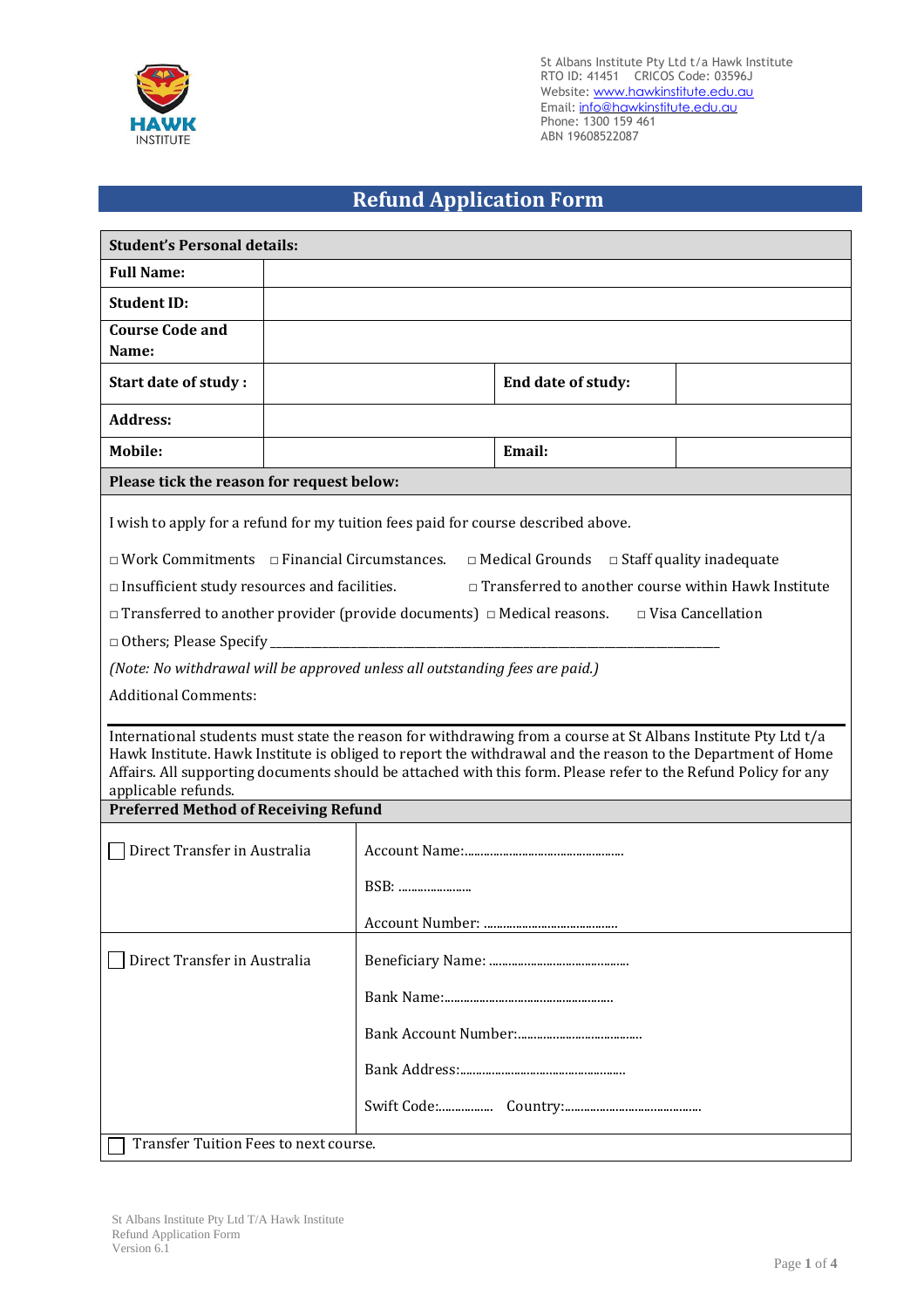

St Albans Institute Pty Ltd t/a Hawk Institute RTO ID: 41451 CRICOS Code: 03596J Website: <u>www.hawkinstitute.edu.au</u> Email: <u>[info@hawkinstitute.edu.au](mailto:info@hawkinstitute.edu.au)</u> Phone: 1300 159 461 ABN 19608522087

## **Refund Application Form**

| <b>Student's Personal details:</b>                                                                                                                                                                                                                                                                                                                                                                                                                                                                                                                                                                                                                                                                                                                                                                                                                                                                                                    |  |                 |                    |  |  |
|---------------------------------------------------------------------------------------------------------------------------------------------------------------------------------------------------------------------------------------------------------------------------------------------------------------------------------------------------------------------------------------------------------------------------------------------------------------------------------------------------------------------------------------------------------------------------------------------------------------------------------------------------------------------------------------------------------------------------------------------------------------------------------------------------------------------------------------------------------------------------------------------------------------------------------------|--|-----------------|--------------------|--|--|
| <b>Full Name:</b>                                                                                                                                                                                                                                                                                                                                                                                                                                                                                                                                                                                                                                                                                                                                                                                                                                                                                                                     |  |                 |                    |  |  |
| <b>Student ID:</b>                                                                                                                                                                                                                                                                                                                                                                                                                                                                                                                                                                                                                                                                                                                                                                                                                                                                                                                    |  |                 |                    |  |  |
| <b>Course Code and</b><br>Name:                                                                                                                                                                                                                                                                                                                                                                                                                                                                                                                                                                                                                                                                                                                                                                                                                                                                                                       |  |                 |                    |  |  |
| Start date of study:                                                                                                                                                                                                                                                                                                                                                                                                                                                                                                                                                                                                                                                                                                                                                                                                                                                                                                                  |  |                 | End date of study: |  |  |
| <b>Address:</b>                                                                                                                                                                                                                                                                                                                                                                                                                                                                                                                                                                                                                                                                                                                                                                                                                                                                                                                       |  |                 |                    |  |  |
| Mobile:                                                                                                                                                                                                                                                                                                                                                                                                                                                                                                                                                                                                                                                                                                                                                                                                                                                                                                                               |  |                 | Email:             |  |  |
| Please tick the reason for request below:                                                                                                                                                                                                                                                                                                                                                                                                                                                                                                                                                                                                                                                                                                                                                                                                                                                                                             |  |                 |                    |  |  |
| I wish to apply for a refund for my tuition fees paid for course described above.<br>$\Box$ Work Commitments $\Box$ Financial Circumstances.<br>$\Box$ Medical Grounds $\Box$ Staff quality inadequate<br>$\Box$ Transferred to another course within Hawk Institute<br>$\Box$ Insufficient study resources and facilities.<br>$\Box$ Transferred to another provider (provide documents) $\Box$ Medical reasons.<br>$\Box$ Visa Cancellation<br>(Note: No withdrawal will be approved unless all outstanding fees are paid.)<br><b>Additional Comments:</b><br>International students must state the reason for withdrawing from a course at St Albans Institute Pty Ltd t/a<br>Hawk Institute. Hawk Institute is obliged to report the withdrawal and the reason to the Department of Home<br>Affairs. All supporting documents should be attached with this form. Please refer to the Refund Policy for any<br>applicable refunds. |  |                 |                    |  |  |
| <b>Preferred Method of Receiving Refund</b>                                                                                                                                                                                                                                                                                                                                                                                                                                                                                                                                                                                                                                                                                                                                                                                                                                                                                           |  |                 |                    |  |  |
| Direct Transfer in Australia                                                                                                                                                                                                                                                                                                                                                                                                                                                                                                                                                                                                                                                                                                                                                                                                                                                                                                          |  |                 |                    |  |  |
|                                                                                                                                                                                                                                                                                                                                                                                                                                                                                                                                                                                                                                                                                                                                                                                                                                                                                                                                       |  | BSB:            |                    |  |  |
|                                                                                                                                                                                                                                                                                                                                                                                                                                                                                                                                                                                                                                                                                                                                                                                                                                                                                                                                       |  | Account Number: |                    |  |  |
| Direct Transfer in Australia                                                                                                                                                                                                                                                                                                                                                                                                                                                                                                                                                                                                                                                                                                                                                                                                                                                                                                          |  |                 |                    |  |  |
|                                                                                                                                                                                                                                                                                                                                                                                                                                                                                                                                                                                                                                                                                                                                                                                                                                                                                                                                       |  |                 |                    |  |  |
|                                                                                                                                                                                                                                                                                                                                                                                                                                                                                                                                                                                                                                                                                                                                                                                                                                                                                                                                       |  |                 |                    |  |  |
|                                                                                                                                                                                                                                                                                                                                                                                                                                                                                                                                                                                                                                                                                                                                                                                                                                                                                                                                       |  |                 |                    |  |  |
|                                                                                                                                                                                                                                                                                                                                                                                                                                                                                                                                                                                                                                                                                                                                                                                                                                                                                                                                       |  |                 |                    |  |  |
|                                                                                                                                                                                                                                                                                                                                                                                                                                                                                                                                                                                                                                                                                                                                                                                                                                                                                                                                       |  |                 |                    |  |  |
| Transfer Tuition Fees to next course.                                                                                                                                                                                                                                                                                                                                                                                                                                                                                                                                                                                                                                                                                                                                                                                                                                                                                                 |  |                 |                    |  |  |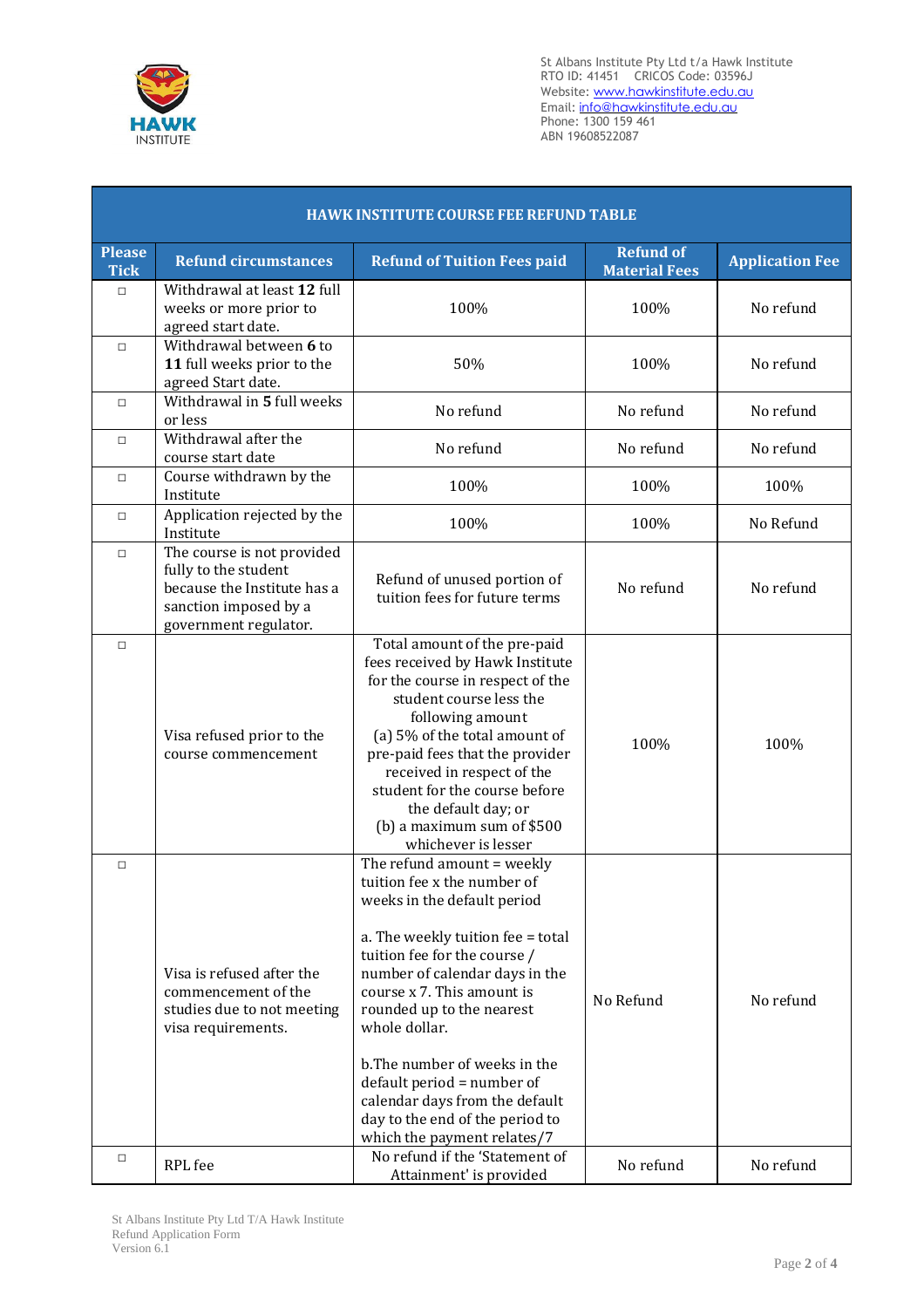

St Albans Institute Pty Ltd t/a Hawk Institute RTO ID: 41451 CRICOS Code: 03596J Website: <u>www.hawkinstitute.edu.au</u> Email: <u>[info@hawkinstitute.edu.au](mailto:info@hawkinstitute.edu.au)</u> Phone: 1300 159 461 ABN 19608522087

| <b>HAWK INSTITUTE COURSE FEE REFUND TABLE</b> |                                                                                                                                     |                                                                                                                                                                                                                                                                                                                                                                                                                                                                                  |                                          |                        |
|-----------------------------------------------|-------------------------------------------------------------------------------------------------------------------------------------|----------------------------------------------------------------------------------------------------------------------------------------------------------------------------------------------------------------------------------------------------------------------------------------------------------------------------------------------------------------------------------------------------------------------------------------------------------------------------------|------------------------------------------|------------------------|
| <b>Please</b><br><b>Tick</b>                  | <b>Refund circumstances</b>                                                                                                         | <b>Refund of Tuition Fees paid</b>                                                                                                                                                                                                                                                                                                                                                                                                                                               | <b>Refund of</b><br><b>Material Fees</b> | <b>Application Fee</b> |
| $\Box$                                        | Withdrawal at least 12 full<br>weeks or more prior to<br>agreed start date.                                                         | 100%                                                                                                                                                                                                                                                                                                                                                                                                                                                                             | 100%                                     | No refund              |
| $\Box$                                        | Withdrawal between 6 to<br>11 full weeks prior to the<br>agreed Start date.                                                         | 50%                                                                                                                                                                                                                                                                                                                                                                                                                                                                              | 100%                                     | No refund              |
| $\Box$                                        | Withdrawal in 5 full weeks<br>or less                                                                                               | No refund                                                                                                                                                                                                                                                                                                                                                                                                                                                                        | No refund                                | No refund              |
| $\Box$                                        | Withdrawal after the<br>course start date                                                                                           | No refund                                                                                                                                                                                                                                                                                                                                                                                                                                                                        | No refund                                | No refund              |
| $\Box$                                        | Course withdrawn by the<br>Institute                                                                                                | 100%                                                                                                                                                                                                                                                                                                                                                                                                                                                                             | 100%                                     | 100%                   |
| $\Box$                                        | Application rejected by the<br>Institute                                                                                            | 100%                                                                                                                                                                                                                                                                                                                                                                                                                                                                             | 100%                                     | No Refund              |
| $\Box$                                        | The course is not provided<br>fully to the student<br>because the Institute has a<br>sanction imposed by a<br>government regulator. | Refund of unused portion of<br>tuition fees for future terms                                                                                                                                                                                                                                                                                                                                                                                                                     | No refund                                | No refund              |
| $\Box$                                        | Visa refused prior to the<br>course commencement                                                                                    | Total amount of the pre-paid<br>fees received by Hawk Institute<br>for the course in respect of the<br>student course less the<br>following amount<br>(a) 5% of the total amount of<br>pre-paid fees that the provider<br>received in respect of the<br>student for the course before<br>the default day; or<br>(b) a maximum sum of $$500$<br>whichever is lesser                                                                                                               | 100%                                     | 100%                   |
| $\Box$                                        | Visa is refused after the<br>commencement of the<br>studies due to not meeting<br>visa requirements.                                | The refund amount = weekly<br>tuition fee x the number of<br>weeks in the default period<br>a. The weekly tuition fee = total<br>tuition fee for the course /<br>number of calendar days in the<br>course x 7. This amount is<br>rounded up to the nearest<br>whole dollar.<br>b. The number of weeks in the<br>default period = number of<br>calendar days from the default<br>day to the end of the period to<br>which the payment relates/7<br>No refund if the 'Statement of | No Refund                                | No refund              |
| $\Box$                                        | RPL fee                                                                                                                             | Attainment' is provided                                                                                                                                                                                                                                                                                                                                                                                                                                                          | No refund                                | No refund              |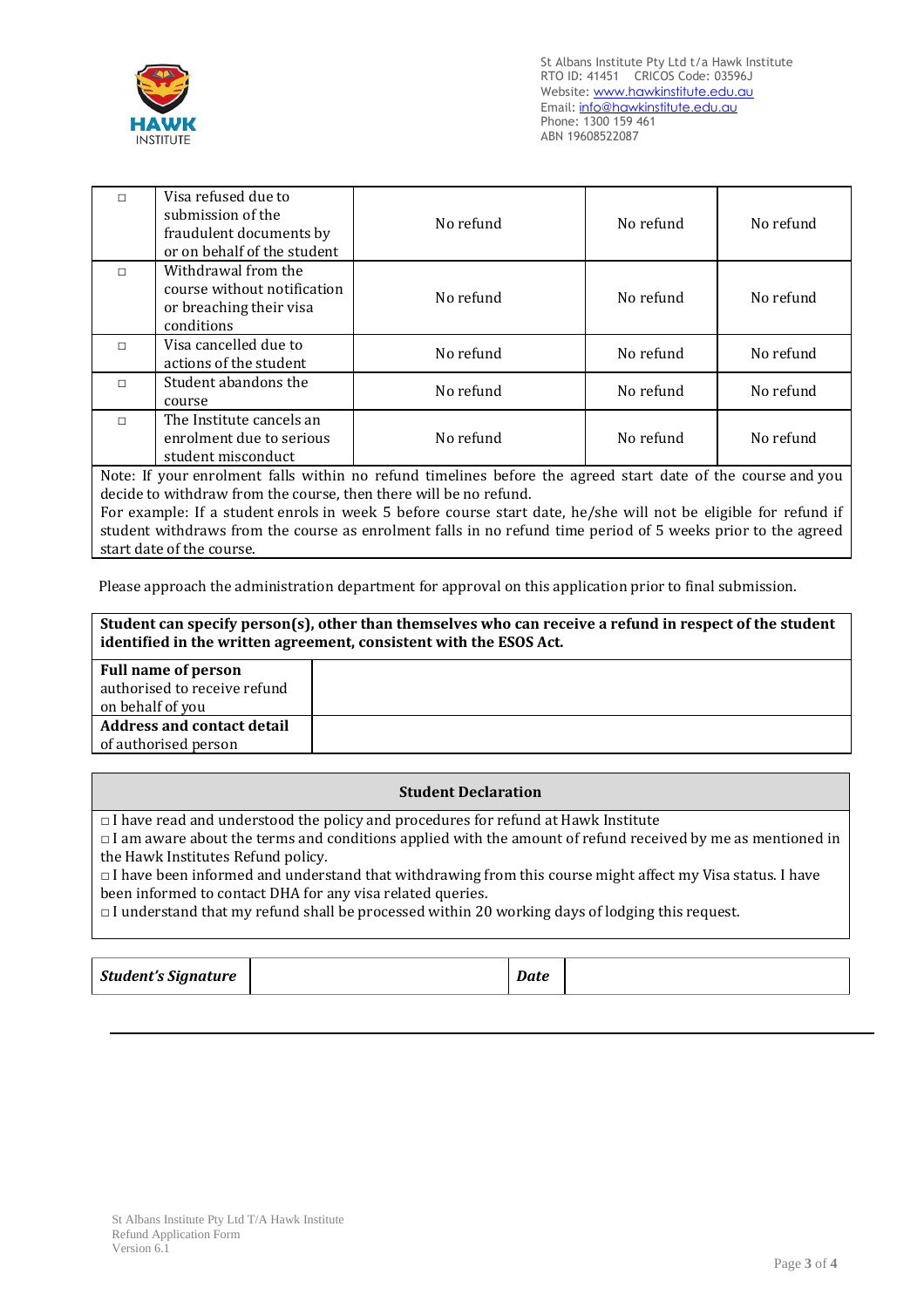

St Albans Institute Pty Ltd t/a Hawk Institute RTO ID: 41451 CRICOS Code: 03596J Website: www.hawkinstitute.edu.au Email: [info@hawkinstitute.edu.au](mailto:info@hawkinstitute.edu.au) Phone: 1300 159 461 ABN 19608522087

| $\Box$                                                                                                      | Visa refused due to<br>submission of the<br>fraudulent documents by<br>or on behalf of the student | No refund | No refund | No refund |
|-------------------------------------------------------------------------------------------------------------|----------------------------------------------------------------------------------------------------|-----------|-----------|-----------|
| $\Box$                                                                                                      | Withdrawal from the<br>course without notification<br>or breaching their visa<br>conditions        | No refund | No refund | No refund |
| $\Box$                                                                                                      | Visa cancelled due to<br>actions of the student                                                    | No refund | No refund | No refund |
| П                                                                                                           | Student abandons the<br>course                                                                     | No refund | No refund | No refund |
| п                                                                                                           | The Institute cancels an<br>enrolment due to serious<br>student misconduct                         | No refund | No refund | No refund |
| Note: If your enrolment falls within no refund timelines before the agreed start date of the course and you |                                                                                                    |           |           |           |

Note: If your enrolment falls within no refund timelines before the agreed start date of the course and you decide to withdraw from the course, then there will be no refund.

For example: If a student enrols in week 5 before course start date, he/she will not be eligible for refund if student withdraws from the course as enrolment falls in no refund time period of 5 weeks prior to the agreed start date of the course.

Please approach the administration department for approval on this application prior to final submission.

**Student can specify person(s), other than themselves who can receive a refund in respect of the student identified in the written agreement, consistent with the ESOS Act.**

| <b>Full name of person</b>        |  |
|-----------------------------------|--|
| authorised to receive refund      |  |
| on behalf of you                  |  |
| <b>Address and contact detail</b> |  |
| of authorised person              |  |

## **Student Declaration**

 $\Box$  I have read and understood the policy and procedures for refund at Hawk Institute

□ I am aware about the terms and conditions applied with the amount of refund received by me as mentioned in the Hawk Institutes Refund policy.

 $\Box$  I have been informed and understand that withdrawing from this course might affect my Visa status. I have been informed to contact DHA for any visa related queries.

 $\Box$  I understand that my refund shall be processed within 20 working days of lodging this request.

| <b>Student's Signature</b> |  | Date |
|----------------------------|--|------|
|----------------------------|--|------|